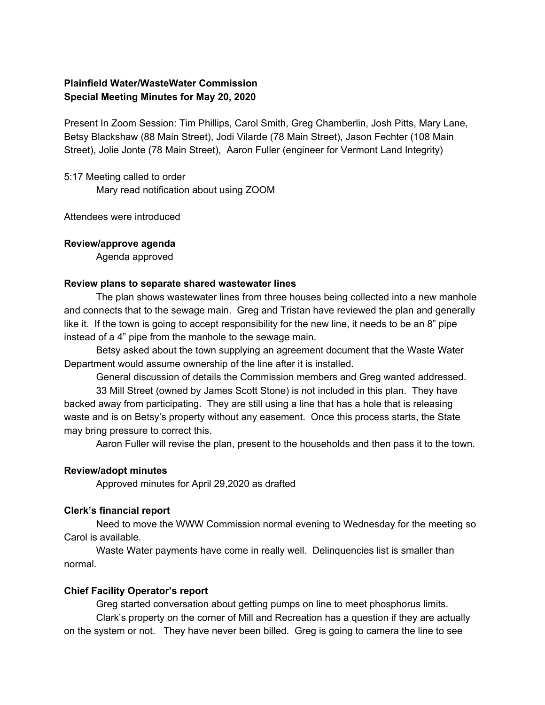# **Plainfield Water/WasteWater Commission Special Meeting Minutes for May 20, 2020**

Present In Zoom Session: Tim Phillips, Carol Smith, Greg Chamberlin, Josh Pitts, Mary Lane, Betsy Blackshaw (88 Main Street), Jodi Vilarde (78 Main Street), Jason Fechter (108 Main Street), Jolie Jonte (78 Main Street), Aaron Fuller (engineer for Vermont Land Integrity)

5:17 Meeting called to order

Mary read notification about using ZOOM

Attendees were introduced

#### **Review/approve agenda**

Agenda approved

#### **Review plans to separate shared wastewater lines**

The plan shows wastewater lines from three houses being collected into a new manhole and connects that to the sewage main. Greg and Tristan have reviewed the plan and generally like it. If the town is going to accept responsibility for the new line, it needs to be an 8" pipe instead of a 4" pipe from the manhole to the sewage main.

Betsy asked about the town supplying an agreement document that the Waste Water Department would assume ownership of the line after it is installed.

General discussion of details the Commission members and Greg wanted addressed.

33 Mill Street (owned by James Scott Stone) is not included in this plan. They have backed away from participating. They are still using a line that has a hole that is releasing waste and is on Betsy's property without any easement. Once this process starts, the State may bring pressure to correct this.

Aaron Fuller will revise the plan, present to the households and then pass it to the town.

## **Review/adopt minutes**

Approved minutes for April 29,2020 as drafted

## **Clerk's financial report**

Need to move the WWW Commission normal evening to Wednesday for the meeting so Carol is available.

Waste Water payments have come in really well. Delinquencies list is smaller than normal.

## **Chief Facility Operator's report**

Greg started conversation about getting pumps on line to meet phosphorus limits. Clark's property on the corner of Mill and Recreation has a question if they are actually on the system or not. They have never been billed. Greg is going to camera the line to see